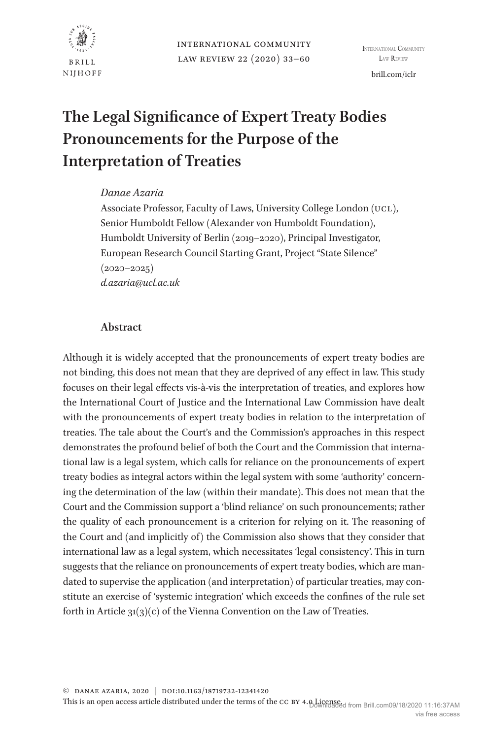

**INTERNATIONAL COMMUNITY LAW REVIEW**

brill.com/iclr

# **The Legal Significance of Expert Treaty Bodies Pronouncements for the Purpose of the Interpretation of Treaties**

#### *Danae Azaria*

Associate Professor, Faculty of Laws, University College London (UCL), Senior Humboldt Fellow (Alexander von Humboldt Foundation), Humboldt University of Berlin (2019–2020), Principal Investigator, European Research Council Starting Grant, Project "State Silence"  $(2020 - 2025)$ *d.azaria@ucl.ac.uk*

#### **Abstract**

Although it is widely accepted that the pronouncements of expert treaty bodies are not binding, this does not mean that they are deprived of any effect in law. This study focuses on their legal effects vis-à-vis the interpretation of treaties, and explores how the International Court of Justice and the International Law Commission have dealt with the pronouncements of expert treaty bodies in relation to the interpretation of treaties. The tale about the Court's and the Commission's approaches in this respect demonstrates the profound belief of both the Court and the Commission that international law is a legal system, which calls for reliance on the pronouncements of expert treaty bodies as integral actors within the legal system with some 'authority' concerning the determination of the law (within their mandate). This does not mean that the Court and the Commission support a 'blind reliance' on such pronouncements; rather the quality of each pronouncement is a criterion for relying on it. The reasoning of the Court and (and implicitly of) the Commission also shows that they consider that international law as a legal system, which necessitates 'legal consistency'. This in turn suggests that the reliance on pronouncements of expert treaty bodies, which are mandated to supervise the application (and interpretation) of particular treaties, may constitute an exercise of 'systemic integration' which exceeds the confines of the rule set forth in Article  $31(3)(c)$  of the Vienna Convention on the Law of Treaties.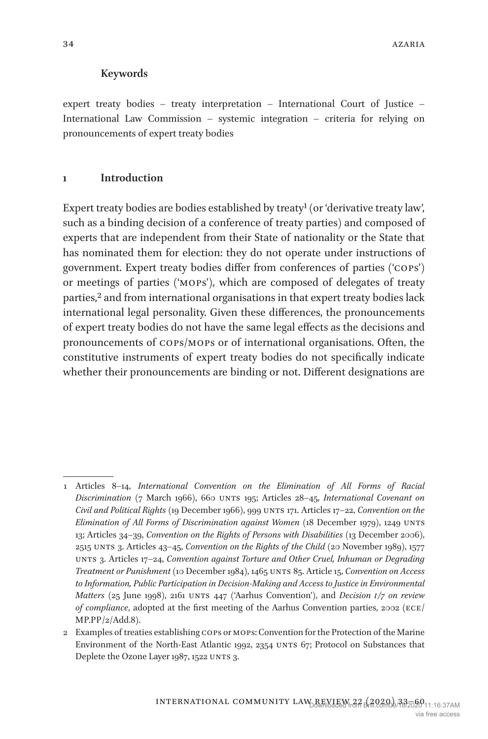#### **Keywords**

expert treaty bodies – treaty interpretation – International Court of Justice – International Law Commission – systemic integration – criteria for relying on pronouncements of expert treaty bodies

#### **1 Introduction**

Expert treaty bodies are bodies established by treaty<sup>1</sup> (or 'derivative treaty law', such as a binding decision of a conference of treaty parties) and composed of experts that are independent from their State of nationality or the State that has nominated them for election: they do not operate under instructions of government. Expert treaty bodies differ from conferences of parties ('COPs') or meetings of parties ('MOPs'), which are composed of delegates of treaty parties,<sup>2</sup> and from international organisations in that expert treaty bodies lack international legal personality. Given these differences, the pronouncements of expert treaty bodies do not have the same legal effects as the decisions and pronouncements of COPs/MOPs or of international organisations. Often, the constitutive instruments of expert treaty bodies do not specifically indicate whether their pronouncements are binding or not. Different designations are

<sup>1</sup> Articles 8–14, *International Convention on the Elimination of All Forms of Racial Discrimination* (7 March 1966), 660 UNTS 195; Articles 28–45, *International Covenant on Civil and Political Rights* (19 December 1966), 999 UNTS 171. Articles 17–22, *Convention on the Elimination of All Forms of Discrimination against Women* (18 December 1979), 1249 UNTS 13; Articles 34–39, *Convention on the Rights of Persons with Disabilities* (13 December 2006), 2515 UNTS 3. Articles 43–45, *Convention on the Rights of the Child* (20 November 1989), 1577 UNTS 3. Articles 17–24, *Convention against Torture and Other Cruel, Inhuman or Degrading Treatment or Punishment* (10 December 1984), 1465 UNTS 85. Article 15, *Convention on Access to Information, Public Participation in Decision-Making and Access to Justice in Environmental Matters* (25 June 1998), 2161 UNTS 447 ('Aarhus Convention'), and *Decision I/7 on review of compliance*, adopted at the first meeting of the Aarhus Convention parties, 2002 (ECE/ MP.PP/2/Add.8).

<sup>2</sup> Examples of treaties establishing COPs or MOPs: Convention for the Protection of the Marine Environment of the North-East Atlantic 1992, 2354 UNTS 67; Protocol on Substances that Deplete the Ozone Layer 1987, 1522 UNTS 3.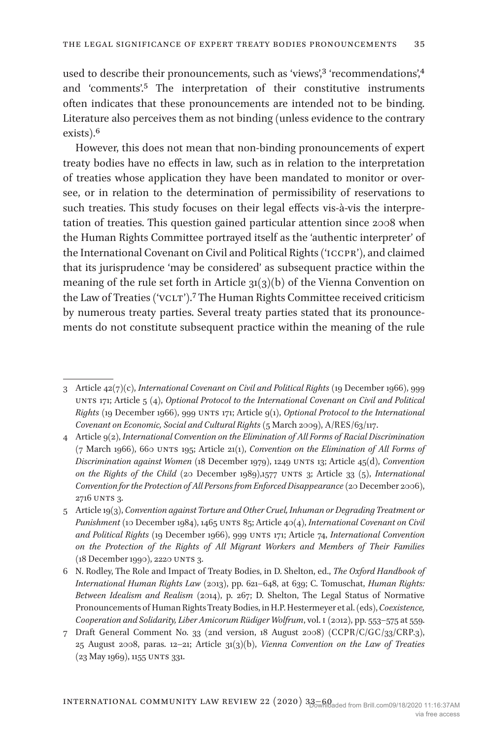used to describe their pronouncements, such as 'views',<sup>3</sup> 'recommendations',<sup>4</sup> and 'comments'.5 The interpretation of their constitutive instruments often indicates that these pronouncements are intended not to be binding. Literature also perceives them as not binding (unless evidence to the contrary exists).6

However, this does not mean that non-binding pronouncements of expert treaty bodies have no effects in law, such as in relation to the interpretation of treaties whose application they have been mandated to monitor or oversee, or in relation to the determination of permissibility of reservations to such treaties. This study focuses on their legal effects vis-à-vis the interpretation of treaties. This question gained particular attention since 2008 when the Human Rights Committee portrayed itself as the 'authentic interpreter' of the International Covenant on Civil and Political Rights ('ICCPR'), and claimed that its jurisprudence 'may be considered' as subsequent practice within the meaning of the rule set forth in Article  $31(3)(b)$  of the Vienna Convention on the Law of Treaties ('VCLT').7 The Human Rights Committee received criticism by numerous treaty parties. Several treaty parties stated that its pronouncements do not constitute subsequent practice within the meaning of the rule

<sup>3</sup> Article 42(7)(c), *International Covenant on Civil and Political Rights* (19 December 1966), 999 UNTS 171; Article 5 (4), *Optional Protocol to the International Covenant on Civil and Political Rights* (19 December 1966), 999 UNTS 171; Article 9(1), *Optional Protocol to the International Covenant on Economic, Social and Cultural Rights* (5 March 2009), A/RES/63/117.

<sup>4</sup> Article 9(2), *International Convention on the Elimination of All Forms of Racial Discrimination* (7 March 1966), 660 UNTS 195; Article 21(1), *Convention on the Elimination of All Forms of Discrimination against Women* (18 December 1979), 1249 UNTS 13; Article 45(d), *Convention on the Rights of the Child* (20 December 1989),1577 UNTS 3; Article 33 (5), *International Convention for the Protection of All Persons from Enforced Disappearance* (20 December 2006), 2716 UNTS 3.

<sup>5</sup> Article 19(3), *Convention against Torture and Other Cruel, Inhuman or Degrading Treatment or Punishment* (10 December 1984), 1465 UNTS 85; Article 40(4), *International Covenant on Civil and Political Rights* (19 December 1966), 999 UNTS 171; Article 74, *International Convention on the Protection of the Rights of All Migrant Workers and Members of Their Families* (18 December 1990), 2220 UNTS 3.

<sup>6</sup> N. Rodley, The Role and Impact of Treaty Bodies, in D. Shelton, ed., *The Oxford Handbook of International Human Rights Law* (2013), pp. 621–648, at 639; C. Tomuschat, *Human Rights: Between Idealism and Realism* (2014), p. 267; D. Shelton, The Legal Status of Normative Pronouncements of Human Rights Treaty Bodies, in H.P. Hestermeyer et al. (eds), *Coexistence, Cooperation and Solidarity, Liber Amicorum Rüdiger Wolfrum*, vol. I (2012), pp. 553–575 at 559.

<sup>7</sup> Draft General Comment No. 33 (2nd version, 18 August 2008) (CCPR/C/GC/33/CRP.3), 25 August 2008, paras. 12–21; Article 31(3)(b), *Vienna Convention on the Law of Treaties* (23 May 1969), 1155 UNTS 331.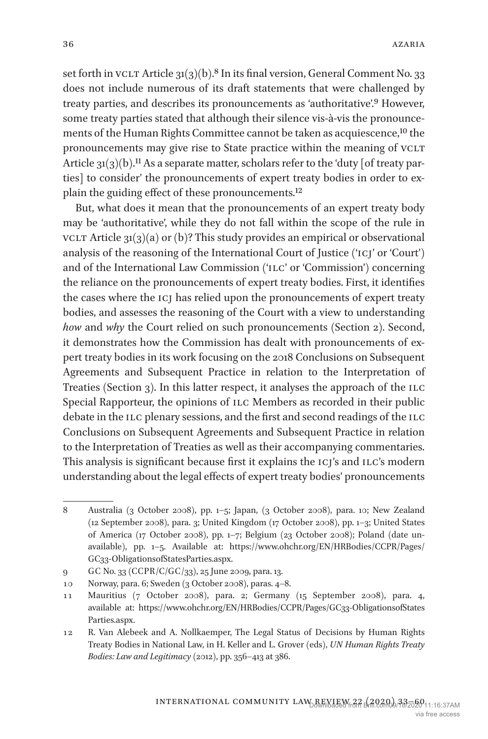set forth in VCLT Article 31(3)(b).<sup>8</sup> In its final version, General Comment No. 33 does not include numerous of its draft statements that were challenged by treaty parties, and describes its pronouncements as 'authoritative'.9 However, some treaty parties stated that although their silence vis-à-vis the pronouncements of the Human Rights Committee cannot be taken as acquiescence,10 the pronouncements may give rise to State practice within the meaning of VCLT Article  $31(3)(b)$ .<sup>11</sup> As a separate matter, scholars refer to the 'duty [of treaty parties] to consider' the pronouncements of expert treaty bodies in order to explain the guiding effect of these pronouncements.12

But, what does it mean that the pronouncements of an expert treaty body may be 'authoritative', while they do not fall within the scope of the rule in VCLT Article  $31(3)(a)$  or (b)? This study provides an empirical or observational analysis of the reasoning of the International Court of Justice ('Icj' or 'Court') and of the International Law Commission ('ILC' or 'Commission') concerning the reliance on the pronouncements of expert treaty bodies. First, it identifies the cases where the ICJ has relied upon the pronouncements of expert treaty bodies, and assesses the reasoning of the Court with a view to understanding *how* and *why* the Court relied on such pronouncements (Section 2). Second, it demonstrates how the Commission has dealt with pronouncements of expert treaty bodies in its work focusing on the 2018 Conclusions on Subsequent Agreements and Subsequent Practice in relation to the Interpretation of Treaties (Section 3). In this latter respect, it analyses the approach of the ILC Special Rapporteur, the opinions of ILC Members as recorded in their public debate in the ILC plenary sessions, and the first and second readings of the ILC Conclusions on Subsequent Agreements and Subsequent Practice in relation to the Interpretation of Treaties as well as their accompanying commentaries. This analysis is significant because first it explains the ICJ's and ILC's modern understanding about the legal effects of expert treaty bodies' pronouncements

<sup>8</sup> Australia (3 October 2008), pp. 1–5; Japan, (3 October 2008), para. 10; New Zealand (12 September 2008), para. 3; United Kingdom (17 October 2008), pp. 1–3; United States of America (17 October 2008), pp. 1–7; Belgium (23 October 2008); Poland (date unavailable), pp. 1–5. Available at: https://www.ohchr.org/EN/HRBodies/CCPR/Pages/ GC33-ObligationsofStatesParties.aspx.

<sup>9</sup> GC No. 33 (CCPR/C/GC/33), 25 June 2009, para. 13.

<sup>10</sup> Norway, para. 6; Sweden (3 October 2008), paras. 4–8.

<sup>11</sup> Mauritius (7 October 2008), para. 2; Germany (15 September 2008), para. 4, available at: https://www.ohchr.org/EN/HRBodies/CCPR/Pages/GC33-ObligationsofStates Parties.aspx.

<sup>12</sup> R. Van Alebeek and A. Nollkaemper, The Legal Status of Decisions by Human Rights Treaty Bodies in National Law, in H. Keller and L. Grover (eds), *UN Human Rights Treaty Bodies: Law and Legitimacy* (2012), pp. 356–413 at 386.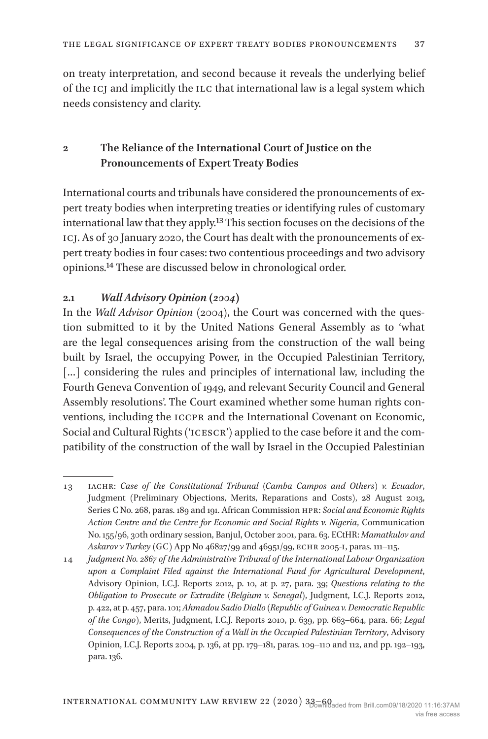on treaty interpretation, and second because it reveals the underlying belief of the ICJ and implicitly the ILC that international law is a legal system which needs consistency and clarity.

# **2 The Reliance of the International Court of Justice on the Pronouncements of Expert Treaty Bodies**

International courts and tribunals have considered the pronouncements of expert treaty bodies when interpreting treaties or identifying rules of customary international law that they apply.13 This section focuses on the decisions of the ICJ. As of 30 January 2020, the Court has dealt with the pronouncements of expert treaty bodies in four cases: two contentious proceedings and two advisory opinions.14 These are discussed below in chronological order.

## **2.1** *Wall Advisory Opinion (2004)*

In the *Wall Advisor Opinion* (2004), the Court was concerned with the question submitted to it by the United Nations General Assembly as to 'what are the legal consequences arising from the construction of the wall being built by Israel, the occupying Power, in the Occupied Palestinian Territory, [...] considering the rules and principles of international law, including the Fourth Geneva Convention of 1949, and relevant Security Council and General Assembly resolutions'. The Court examined whether some human rights conventions, including the ICCPR and the International Covenant on Economic, Social and Cultural Rights ('ICESCR') applied to the case before it and the compatibility of the construction of the wall by Israel in the Occupied Palestinian

<sup>13</sup> IACHR: *Case of the Constitutional Tribunal (Camba Campos and Others) v. Ecuador*, Judgment (Preliminary Objections, Merits, Reparations and Costs), 28 August 2013, Series C No. 268, paras. 189 and 191. African Commission HPR: *Social and Economic Rights Action Centre and the Centre for Economic and Social Rights v. Nigeria*, Communication No. 155/96, 30th ordinary session, Banjul, October 2001, para. 63. ECtHR: *Mamatkulov and Askarov v Turkey* (GC) App No 46827/99 and 46951/99, ECHR 2005-I, paras. 111–115.

<sup>14</sup> *Judgment No. 2867 of the Administrative Tribunal of the International Labour Organization upon a Complaint Filed against the International Fund for Agricultural Development*, Advisory Opinion, I.C.J. Reports 2012, p. 10, at p. 27, para. 39; *Questions relating to the Obligation to Prosecute or Extradite (Belgium v. Senegal)*, Judgment, I.C.J. Reports 2012, p. 422, at p. 457, para. 101; *Ahmadou Sadio Diallo (Republic of Guinea v. Democratic Republic of the Congo)*, Merits, Judgment, I.C.J. Reports 2010, p. 639, pp. 663–664, para. 66; *Legal Consequences of the Construction of a Wall in the Occupied Palestinian Territory*, Advisory Opinion, I.C.J. Reports 2004, p. 136, at pp. 179–181, paras. 109–110 and 112, and pp. 192–193, para. 136.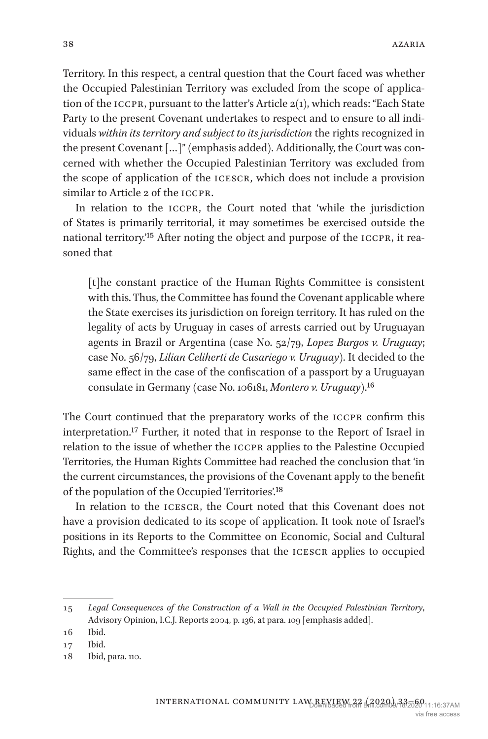Territory. In this respect, a central question that the Court faced was whether the Occupied Palestinian Territory was excluded from the scope of application of the ICCPR, pursuant to the latter's Article 2(1), which reads: "Each State Party to the present Covenant undertakes to respect and to ensure to all individuals *within its territory and subject to its jurisdiction* the rights recognized in the present Covenant […]" (emphasis added). Additionally, the Court was concerned with whether the Occupied Palestinian Territory was excluded from the scope of application of the ICESCR, which does not include a provision similar to Article 2 of the ICCPR.

In relation to the ICCPR, the Court noted that 'while the jurisdiction of States is primarily territorial, it may sometimes be exercised outside the national territory.'15 After noting the object and purpose of the ICCPR, it reasoned that

[t]he constant practice of the Human Rights Committee is consistent with this. Thus, the Committee has found the Covenant applicable where the State exercises its jurisdiction on foreign territory. It has ruled on the legality of acts by Uruguay in cases of arrests carried out by Uruguayan agents in Brazil or Argentina (case No. 52/79, *Lopez Burgos v. Uruguay*; case No. 56/79, *Lilian Celiherti de Cusariego v. Uruguay*). It decided to the same effect in the case of the confiscation of a passport by a Uruguayan consulate in Germany (case No. 106181, *Montero v. Uruguay*).16

The Court continued that the preparatory works of the ICCPR confirm this interpretation.17 Further, it noted that in response to the Report of Israel in relation to the issue of whether the ICCPR applies to the Palestine Occupied Territories, the Human Rights Committee had reached the conclusion that 'in the current circumstances, the provisions of the Covenant apply to the benefit of the population of the Occupied Territories'.18

In relation to the ICESCR, the Court noted that this Covenant does not have a provision dedicated to its scope of application. It took note of Israel's positions in its Reports to the Committee on Economic, Social and Cultural Rights, and the Committee's responses that the ICESCR applies to occupied

<sup>15</sup> *Legal Consequences of the Construction of a Wall in the Occupied Palestinian Territory*, Advisory Opinion, I.C.J. Reports 2004, p. 136, at para. 109 [emphasis added].

<sup>16</sup> Ibid.

<sup>17</sup> Ibid.

<sup>18</sup> Ibid, para. 110.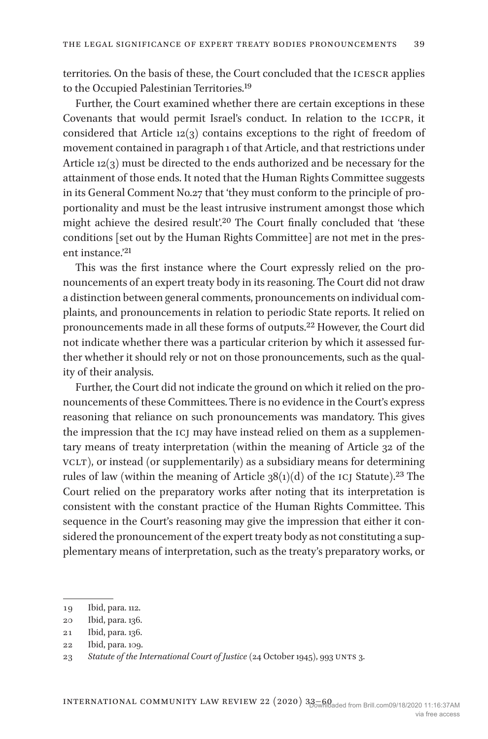territories. On the basis of these, the Court concluded that the ICESCR applies to the Occupied Palestinian Territories.19

Further, the Court examined whether there are certain exceptions in these Covenants that would permit Israel's conduct. In relation to the ICCPR, it considered that Article 12(3) contains exceptions to the right of freedom of movement contained in paragraph 1 of that Article, and that restrictions under Article 12(3) must be directed to the ends authorized and be necessary for the attainment of those ends. It noted that the Human Rights Committee suggests in its General Comment No.27 that 'they must conform to the principle of proportionality and must be the least intrusive instrument amongst those which might achieve the desired result'.<sup>20</sup> The Court finally concluded that 'these conditions [set out by the Human Rights Committee] are not met in the present instance.'21

This was the first instance where the Court expressly relied on the pronouncements of an expert treaty body in its reasoning. The Court did not draw a distinction between general comments, pronouncements on individual complaints, and pronouncements in relation to periodic State reports. It relied on pronouncements made in all these forms of outputs.22 However, the Court did not indicate whether there was a particular criterion by which it assessed further whether it should rely or not on those pronouncements, such as the quality of their analysis.

Further, the Court did not indicate the ground on which it relied on the pronouncements of these Committees. There is no evidence in the Court's express reasoning that reliance on such pronouncements was mandatory. This gives the impression that the ICJ may have instead relied on them as a supplementary means of treaty interpretation (within the meaning of Article 32 of the VCLT), or instead (or supplementarily) as a subsidiary means for determining rules of law (within the meaning of Article  $38(1)(d)$  of the ICJ Statute).<sup>23</sup> The Court relied on the preparatory works after noting that its interpretation is consistent with the constant practice of the Human Rights Committee. This sequence in the Court's reasoning may give the impression that either it considered the pronouncement of the expert treaty body as not constituting a supplementary means of interpretation, such as the treaty's preparatory works, or

<sup>19</sup> Ibid, para. 112.

<sup>20</sup> Ibid, para. 136.

<sup>21</sup> Ibid, para. 136.

<sup>22</sup> Ibid, para. 109.

<sup>23</sup> *Statute of the International Court of Justice* (24 October 1945), 993 UNTS 3.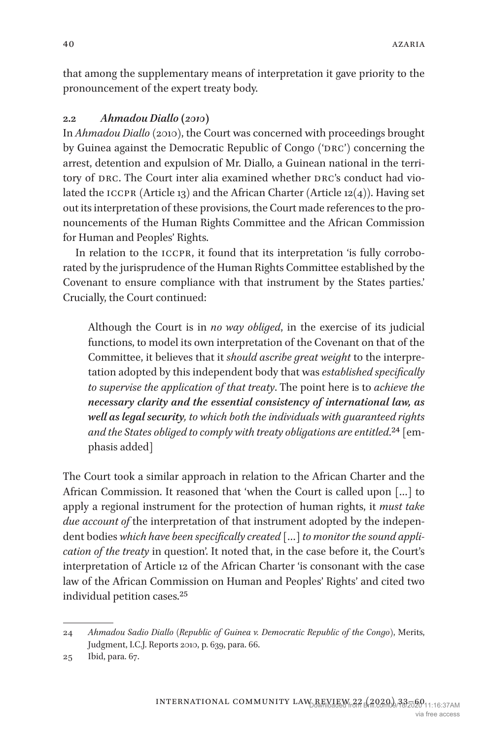that among the supplementary means of interpretation it gave priority to the pronouncement of the expert treaty body.

#### **2.2** *Ahmadou Diallo (2010)*

In *Ahmadou Diallo* (2010), the Court was concerned with proceedings brought by Guinea against the Democratic Republic of Congo ('DRC') concerning the arrest, detention and expulsion of Mr. Diallo, a Guinean national in the territory of DRC. The Court inter alia examined whether DRC's conduct had violated the ICCPR (Article 13) and the African Charter (Article 12(4)). Having set out its interpretation of these provisions, the Court made references to the pronouncements of the Human Rights Committee and the African Commission for Human and Peoples' Rights.

In relation to the ICCPR, it found that its interpretation 'is fully corroborated by the jurisprudence of the Human Rights Committee established by the Covenant to ensure compliance with that instrument by the States parties.' Crucially, the Court continued:

Although the Court is in *no way obliged*, in the exercise of its judicial functions, to model its own interpretation of the Covenant on that of the Committee, it believes that it *should ascribe great weight* to the interpretation adopted by this independent body that was *established specifically to supervise the application of that treaty*. The point here is to *achieve the necessary clarity and the essential consistency of international law, as well as legal security, to which both the individuals with guaranteed rights and the States obliged to comply with treaty obligations are entitled*.24 [emphasis added]

The Court took a similar approach in relation to the African Charter and the African Commission. It reasoned that 'when the Court is called upon […] to apply a regional instrument for the protection of human rights, it *must take due account of* the interpretation of that instrument adopted by the independent bodies *which have been specifically created* […] *to monitor the sound application of the treaty* in question'. It noted that, in the case before it, the Court's interpretation of Article 12 of the African Charter 'is consonant with the case law of the African Commission on Human and Peoples' Rights' and cited two individual petition cases.25

<sup>24</sup> *Ahmadou Sadio Diallo (Republic of Guinea v. Democratic Republic of the Congo)*, Merits, Judgment, I.C.J. Reports 2010, p. 639, para. 66.

<sup>25</sup> Ibid, para. 67.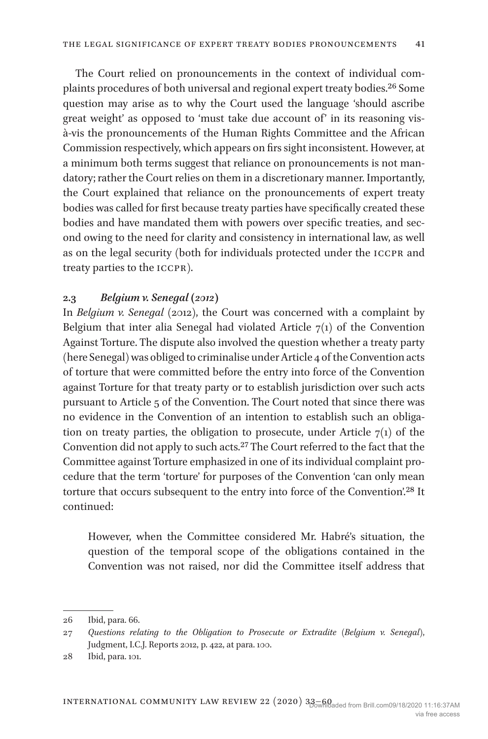The Court relied on pronouncements in the context of individual complaints procedures of both universal and regional expert treaty bodies.26 Some question may arise as to why the Court used the language 'should ascribe great weight' as opposed to 'must take due account of' in its reasoning visà-vis the pronouncements of the Human Rights Committee and the African Commission respectively, which appears on firs sight inconsistent. However, at a minimum both terms suggest that reliance on pronouncements is not mandatory; rather the Court relies on them in a discretionary manner. Importantly, the Court explained that reliance on the pronouncements of expert treaty bodies was called for first because treaty parties have specifically created these bodies and have mandated them with powers over specific treaties, and second owing to the need for clarity and consistency in international law, as well as on the legal security (both for individuals protected under the ICCPR and treaty parties to the ICCPR).

#### **2.3** *Belgium v. Senegal (2012)*

In *Belgium v. Senegal* (2012), the Court was concerned with a complaint by Belgium that inter alia Senegal had violated Article  $7(1)$  of the Convention Against Torture. The dispute also involved the question whether a treaty party (here Senegal) was obliged to criminalise under Article 4 of the Convention acts of torture that were committed before the entry into force of the Convention against Torture for that treaty party or to establish jurisdiction over such acts pursuant to Article 5 of the Convention. The Court noted that since there was no evidence in the Convention of an intention to establish such an obligation on treaty parties, the obligation to prosecute, under Article  $7(1)$  of the Convention did not apply to such acts.27 The Court referred to the fact that the Committee against Torture emphasized in one of its individual complaint procedure that the term 'torture' for purposes of the Convention 'can only mean torture that occurs subsequent to the entry into force of the Convention'.<sup>28</sup> It continued:

However, when the Committee considered Mr. Habré's situation, the question of the temporal scope of the obligations contained in the Convention was not raised, nor did the Committee itself address that

<sup>26</sup> Ibid, para. 66.

<sup>27</sup> *Questions relating to the Obligation to Prosecute or Extradite (Belgium v. Senegal)*, Judgment, I.C.J. Reports 2012, p. 422, at para. 100.

<sup>28</sup> Ibid, para. 101.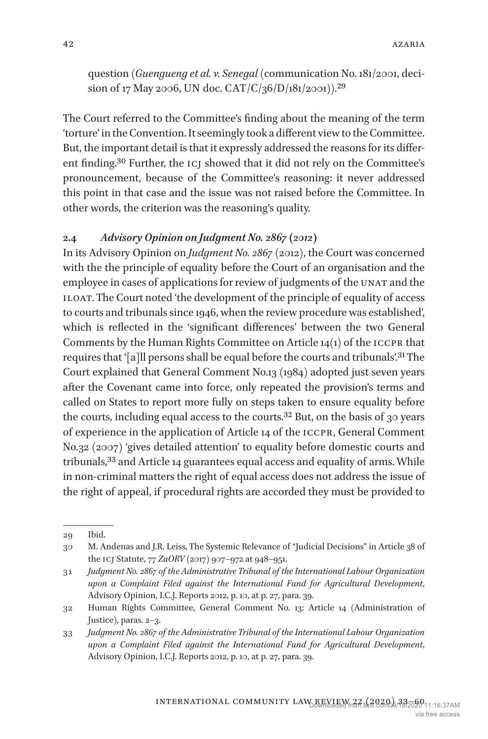question (*Guengueng et al. v. Senegal* (communication No. 181/2001, decision of 17 May 2006, UN doc. CAT/C/36/D/181/2001)).29

The Court referred to the Committee's finding about the meaning of the term 'torture' in the Convention. It seemingly took a different view to the Committee. But, the important detail is that it expressly addressed the reasons for its different finding.30 Further, the ICJ showed that it did not rely on the Committee's pronouncement, because of the Committee's reasoning: it never addressed this point in that case and the issue was not raised before the Committee. In other words, the criterion was the reasoning's quality.

#### **2.4** *Advisory Opinion on Judgment No. 2867 (2012)*

In its Advisory Opinion on *Judgment No. 2867* (2012), the Court was concerned with the the principle of equality before the Court of an organisation and the employee in cases of applications for review of judgments of the UNAT and the ILOAT. The Court noted 'the development of the principle of equality of access to courts and tribunals since 1946, when the review procedure was established', which is reflected in the 'significant differences' between the two General Comments by the Human Rights Committee on Article 14(1) of the ICCPR that requires that '[a]ll persons shall be equal before the courts and tribunals'.31 The Court explained that General Comment No.13 (1984) adopted just seven years after the Covenant came into force, only repeated the provision's terms and called on States to report more fully on steps taken to ensure equality before the courts, including equal access to the courts.<sup>32</sup> But, on the basis of 30 years of experience in the application of Article 14 of the ICCPR, General Comment No.32 (2007) 'gives detailed attention' to equality before domestic courts and tribunals,<sup>33</sup> and Article 14 guarantees equal access and equality of arms. While in non-criminal matters the right of equal access does not address the issue of the right of appeal, if procedural rights are accorded they must be provided to

<sup>29</sup> Ibid.

<sup>30</sup> M. Andenas and J.R. Leiss, The Systemic Relevance of "Judicial Decisions" in Article 38 of the ICJ Statute, 77 *ZaORV* (2017) 907–972 at 948–951.

<sup>31</sup> *Judgment No. 2867 of the Administrative Tribunal of the International Labour Organization upon a Complaint Filed against the International Fund for Agricultural Development*, Advisory Opinion, I.C.J. Reports 2012, p. 10, at p. 27, para. 39.

<sup>32</sup> Human Rights Committee, General Comment No. 13: Article 14 (Administration of Justice), paras. 2–3.

<sup>33</sup> *Judgment No. 2867 of the Administrative Tribunal of the International Labour Organization upon a Complaint Filed against the International Fund for Agricultural Development*, Advisory Opinion, I.C.J. Reports 2012, p. 10, at p. 27, para. 39.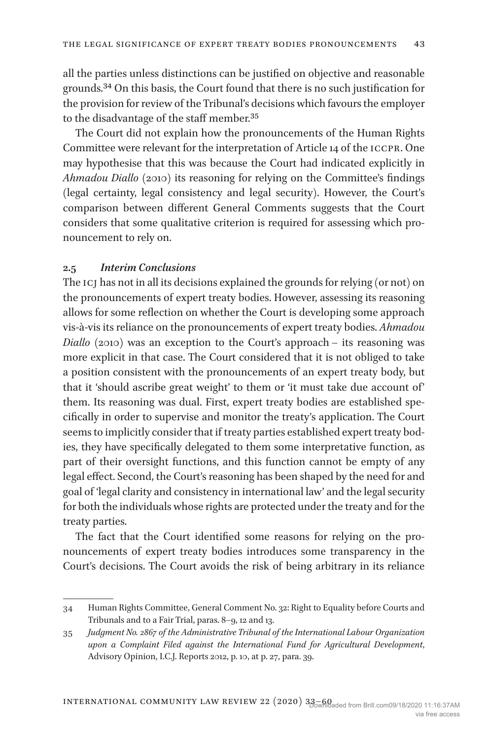all the parties unless distinctions can be justified on objective and reasonable grounds.34 On this basis, the Court found that there is no such justification for the provision for review of the Tribunal's decisions which favours the employer to the disadvantage of the staff member.35

The Court did not explain how the pronouncements of the Human Rights Committee were relevant for the interpretation of Article 14 of the ICCPR. One may hypothesise that this was because the Court had indicated explicitly in *Ahmadou Diallo* (2010) its reasoning for relying on the Committee's findings (legal certainty, legal consistency and legal security). However, the Court's comparison between different General Comments suggests that the Court considers that some qualitative criterion is required for assessing which pronouncement to rely on.

#### **2.5** *Interim Conclusions*

The ICJ has not in all its decisions explained the grounds for relying (or not) on the pronouncements of expert treaty bodies. However, assessing its reasoning allows for some reflection on whether the Court is developing some approach vis-à-vis its reliance on the pronouncements of expert treaty bodies. *Ahmadou Diallo* (2010) was an exception to the Court's approach – its reasoning was more explicit in that case. The Court considered that it is not obliged to take a position consistent with the pronouncements of an expert treaty body, but that it 'should ascribe great weight' to them or 'it must take due account of' them. Its reasoning was dual. First, expert treaty bodies are established specifically in order to supervise and monitor the treaty's application. The Court seems to implicitly consider that if treaty parties established expert treaty bodies, they have specifically delegated to them some interpretative function, as part of their oversight functions, and this function cannot be empty of any legal effect. Second, the Court's reasoning has been shaped by the need for and goal of 'legal clarity and consistency in international law' and the legal security for both the individuals whose rights are protected under the treaty and for the treaty parties.

The fact that the Court identified some reasons for relying on the pronouncements of expert treaty bodies introduces some transparency in the Court's decisions. The Court avoids the risk of being arbitrary in its reliance

<sup>34</sup> Human Rights Committee, General Comment No. 32: Right to Equality before Courts and Tribunals and to a Fair Trial, paras. 8–9, 12 and 13.

<sup>35</sup> *Judgment No. 2867 of the Administrative Tribunal of the International Labour Organization upon a Complaint Filed against the International Fund for Agricultural Development*, Advisory Opinion, I.C.J. Reports 2012, p. 10, at p. 27, para. 39.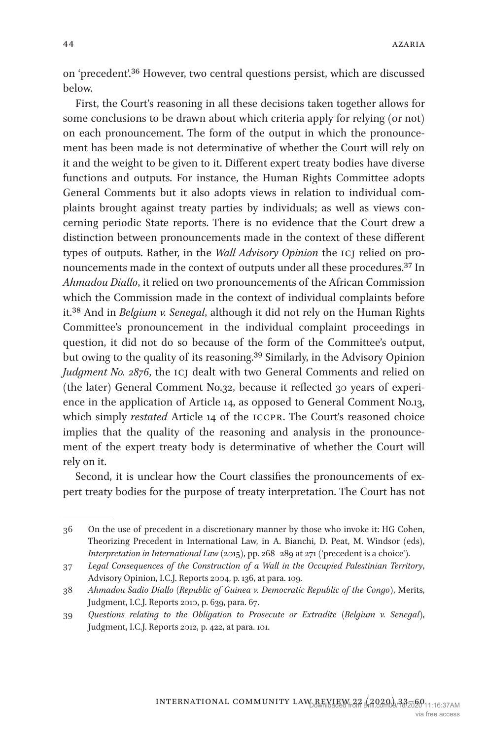on 'precedent'.36 However, two central questions persist, which are discussed below.

First, the Court's reasoning in all these decisions taken together allows for some conclusions to be drawn about which criteria apply for relying (or not) on each pronouncement. The form of the output in which the pronouncement has been made is not determinative of whether the Court will rely on it and the weight to be given to it. Different expert treaty bodies have diverse functions and outputs. For instance, the Human Rights Committee adopts General Comments but it also adopts views in relation to individual complaints brought against treaty parties by individuals; as well as views concerning periodic State reports. There is no evidence that the Court drew a distinction between pronouncements made in the context of these different types of outputs. Rather, in the *Wall Advisory Opinion* the ICJ relied on pronouncements made in the context of outputs under all these procedures.37 In *Ahmadou Diallo*, it relied on two pronouncements of the African Commission which the Commission made in the context of individual complaints before it.38 And in *Belgium v. Senegal*, although it did not rely on the Human Rights Committee's pronouncement in the individual complaint proceedings in question, it did not do so because of the form of the Committee's output, but owing to the quality of its reasoning.39 Similarly, in the Advisory Opinion *Judgment No. 2876*, the ICJ dealt with two General Comments and relied on (the later) General Comment No.32, because it reflected 30 years of experience in the application of Article 14, as opposed to General Comment No.13, which simply *restated* Article 14 of the ICCPR. The Court's reasoned choice implies that the quality of the reasoning and analysis in the pronouncement of the expert treaty body is determinative of whether the Court will rely on it.

Second, it is unclear how the Court classifies the pronouncements of expert treaty bodies for the purpose of treaty interpretation. The Court has not

<sup>36</sup> On the use of precedent in a discretionary manner by those who invoke it: HG Cohen, Theorizing Precedent in International Law, in A. Bianchi, D. Peat, M. Windsor (eds), *Interpretation in International Law* (2015), pp. 268–289 at 271 ('precedent is a choice').

<sup>37</sup> *Legal Consequences of the Construction of a Wall in the Occupied Palestinian Territory*, Advisory Opinion, I.C.J. Reports 2004, p. 136, at para. 109.

<sup>38</sup> *Ahmadou Sadio Diallo (Republic of Guinea v. Democratic Republic of the Congo)*, Merits, Judgment, I.C.J. Reports 2010, p. 639, para. 67.

<sup>39</sup> *Questions relating to the Obligation to Prosecute or Extradite (Belgium v. Senegal)*, Judgment, I.C.J. Reports 2012, p. 422, at para. 101.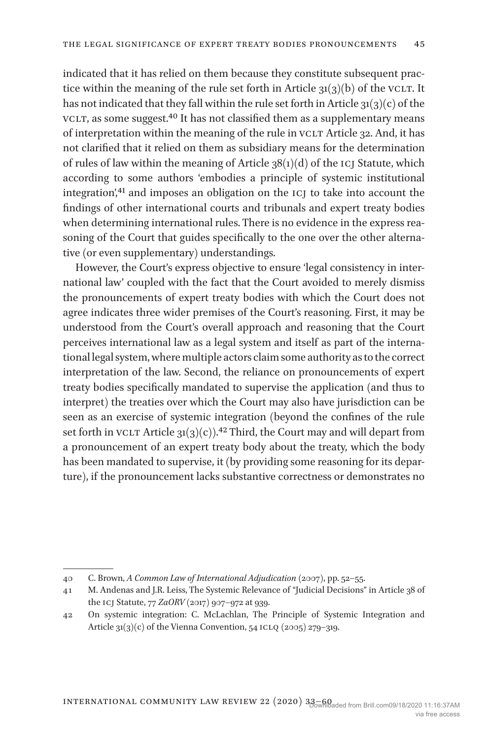indicated that it has relied on them because they constitute subsequent practice within the meaning of the rule set forth in Article  $31(3)(b)$  of the VCLT. It has not indicated that they fall within the rule set forth in Article  $31(3)(c)$  of the VCLT, as some suggest.40 It has not classified them as a supplementary means of interpretation within the meaning of the rule in VCLT Article 32. And, it has not clarified that it relied on them as subsidiary means for the determination of rules of law within the meaning of Article  $38(1)(d)$  of the ICJ Statute, which according to some authors 'embodies a principle of systemic institutional integration',41 and imposes an obligation on the ICJ to take into account the findings of other international courts and tribunals and expert treaty bodies when determining international rules. There is no evidence in the express reasoning of the Court that guides specifically to the one over the other alternative (or even supplementary) understandings.

However, the Court's express objective to ensure 'legal consistency in international law' coupled with the fact that the Court avoided to merely dismiss the pronouncements of expert treaty bodies with which the Court does not agree indicates three wider premises of the Court's reasoning. First, it may be understood from the Court's overall approach and reasoning that the Court perceives international law as a legal system and itself as part of the international legal system, where multiple actors claim some authority as to the correct interpretation of the law. Second, the reliance on pronouncements of expert treaty bodies specifically mandated to supervise the application (and thus to interpret) the treaties over which the Court may also have jurisdiction can be seen as an exercise of systemic integration (beyond the confines of the rule set forth in VCLT Article  $31(3)(c)$ .<sup>42</sup> Third, the Court may and will depart from a pronouncement of an expert treaty body about the treaty, which the body has been mandated to supervise, it (by providing some reasoning for its departure), if the pronouncement lacks substantive correctness or demonstrates no

<sup>40</sup> C. Brown, *A Common Law of International Adjudication* (2007), pp. 52–55.

<sup>41</sup> M. Andenas and J.R. Leiss, The Systemic Relevance of "Judicial Decisions" in Article 38 of the ICJ Statute, 77 *ZaORV* (2017) 907–972 at 939.

<sup>42</sup> On systemic integration: C. McLachlan, The Principle of Systemic Integration and Article 31(3)(c) of the Vienna Convention, 54 ICLQ (2005) 279–319.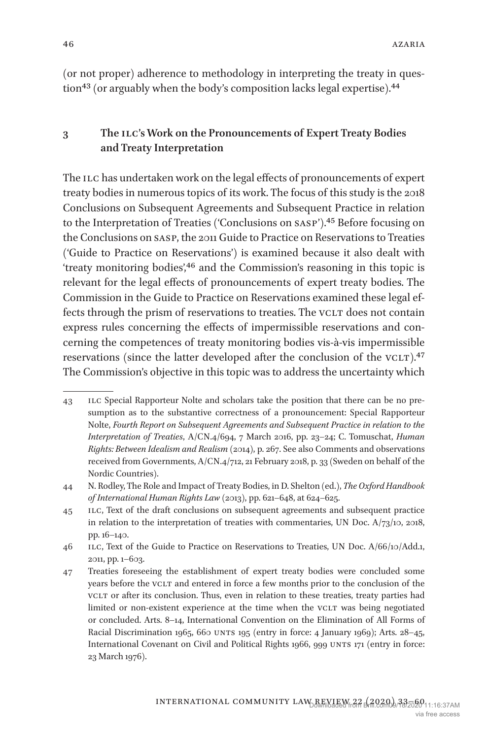(or not proper) adherence to methodology in interpreting the treaty in question<sup>43</sup> (or arguably when the body's composition lacks legal expertise).<sup>44</sup>

## **3 The ILC's Work on the Pronouncements of Expert Treaty Bodies and Treaty Interpretation**

The ILC has undertaken work on the legal effects of pronouncements of expert treaty bodies in numerous topics of its work. The focus of this study is the 2018 Conclusions on Subsequent Agreements and Subsequent Practice in relation to the Interpretation of Treaties ('Conclusions on SASP').45 Before focusing on the Conclusions on SASP, the 2011 Guide to Practice on Reservations to Treaties ('Guide to Practice on Reservations') is examined because it also dealt with 'treaty monitoring bodies',<sup>46</sup> and the Commission's reasoning in this topic is relevant for the legal effects of pronouncements of expert treaty bodies. The Commission in the Guide to Practice on Reservations examined these legal effects through the prism of reservations to treaties. The VCLT does not contain express rules concerning the effects of impermissible reservations and concerning the competences of treaty monitoring bodies vis-à-vis impermissible reservations (since the latter developed after the conclusion of the VCLT).<sup>47</sup> The Commission's objective in this topic was to address the uncertainty which

<sup>43</sup> ILC Special Rapporteur Nolte and scholars take the position that there can be no presumption as to the substantive correctness of a pronouncement: Special Rapporteur Nolte, *Fourth Report on Subsequent Agreements and Subsequent Practice in relation to the Interpretation of Treaties*, A/CN.4/694, 7 March 2016, pp. 23–24; C. Tomuschat, *Human Rights: Between Idealism and Realism* (2014), p. 267. See also Comments and observations received from Governments, A/CN.4/712, 21 February 2018, p. 33 (Sweden on behalf of the Nordic Countries).

<sup>44</sup> N. Rodley, The Role and Impact of Treaty Bodies, in D. Shelton (ed.), *The Oxford Handbook of International Human Rights Law* (2013), pp. 621–648, at 624–625.

<sup>45</sup> ILC, Text of the draft conclusions on subsequent agreements and subsequent practice in relation to the interpretation of treaties with commentaries, UN Doc. A/73/10, 2018, pp. 16–140.

<sup>46</sup> ILC, Text of the Guide to Practice on Reservations to Treaties, UN Doc. A/66/10/Add.1, 2011, pp. 1–603.

<sup>47</sup> Treaties foreseeing the establishment of expert treaty bodies were concluded some years before the VCLT and entered in force a few months prior to the conclusion of the VCLT or after its conclusion. Thus, even in relation to these treaties, treaty parties had limited or non-existent experience at the time when the VCLT was being negotiated or concluded. Arts. 8–14, International Convention on the Elimination of All Forms of Racial Discrimination 1965, 660 UNTS 195 (entry in force: 4 January 1969); Arts. 28–45, International Covenant on Civil and Political Rights 1966, 999 UNTS 171 (entry in force: 23 March 1976).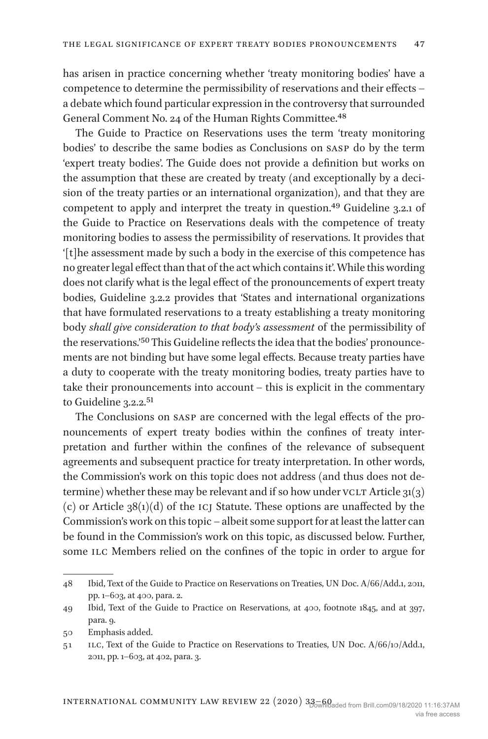has arisen in practice concerning whether 'treaty monitoring bodies' have a competence to determine the permissibility of reservations and their effects – a debate which found particular expression in the controversy that surrounded General Comment No. 24 of the Human Rights Committee.48

The Guide to Practice on Reservations uses the term 'treaty monitoring bodies' to describe the same bodies as Conclusions on SASP do by the term 'expert treaty bodies'. The Guide does not provide a definition but works on the assumption that these are created by treaty (and exceptionally by a decision of the treaty parties or an international organization), and that they are competent to apply and interpret the treaty in question.49 Guideline 3.2.1 of the Guide to Practice on Reservations deals with the competence of treaty monitoring bodies to assess the permissibility of reservations. It provides that '[t]he assessment made by such a body in the exercise of this competence has no greater legal effect than that of the act which contains it'. While this wording does not clarify what is the legal effect of the pronouncements of expert treaty bodies, Guideline 3.2.2 provides that 'States and international organizations that have formulated reservations to a treaty establishing a treaty monitoring body *shall give consideration to that body's assessment* of the permissibility of the reservations.'50 This Guideline reflects the idea that the bodies' pronouncements are not binding but have some legal effects. Because treaty parties have a duty to cooperate with the treaty monitoring bodies, treaty parties have to take their pronouncements into account – this is explicit in the commentary to Guideline 3.2.2.<sup>51</sup>

The Conclusions on SASP are concerned with the legal effects of the pronouncements of expert treaty bodies within the confines of treaty interpretation and further within the confines of the relevance of subsequent agreements and subsequent practice for treaty interpretation. In other words, the Commission's work on this topic does not address (and thus does not determine) whether these may be relevant and if so how under VCLT Article  $31(3)$ (c) or Article  $38(1)(d)$  of the ICJ Statute. These options are unaffected by the Commission's work on this topic – albeit some support for at least the latter can be found in the Commission's work on this topic, as discussed below. Further, some ILC Members relied on the confines of the topic in order to argue for

<sup>48</sup> Ibid, Text of the Guide to Practice on Reservations on Treaties, UN Doc. A/66/Add.1, 2011, pp. 1–603, at 400, para. 2.

<sup>49</sup> Ibid, Text of the Guide to Practice on Reservations, at 400, footnote 1845, and at 397, para. 9.

<sup>50</sup> Emphasis added.

<sup>51</sup> ILC, Text of the Guide to Practice on Reservations to Treaties, UN Doc. A/66/10/Add.1, 2011, pp. 1–603, at 402, para. 3.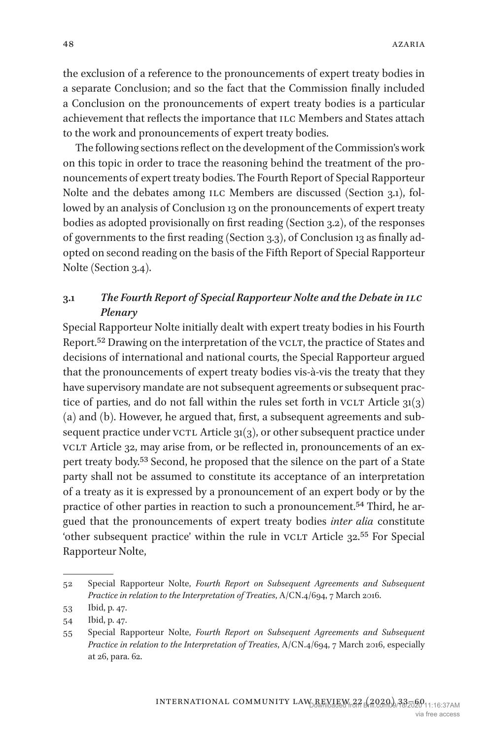the exclusion of a reference to the pronouncements of expert treaty bodies in a separate Conclusion; and so the fact that the Commission finally included a Conclusion on the pronouncements of expert treaty bodies is a particular achievement that reflects the importance that ILC Members and States attach to the work and pronouncements of expert treaty bodies.

The following sections reflect on the development of the Commission's work on this topic in order to trace the reasoning behind the treatment of the pronouncements of expert treaty bodies. The Fourth Report of Special Rapporteur Nolte and the debates among ILC Members are discussed (Section 3.1), followed by an analysis of Conclusion 13 on the pronouncements of expert treaty bodies as adopted provisionally on first reading (Section 3.2), of the responses of governments to the first reading (Section 3.3), of Conclusion 13 as finally adopted on second reading on the basis of the Fifth Report of Special Rapporteur Nolte (Section 3.4).

# **3.1** *The Fourth Report of Special Rapporteur Nolte and the Debate in ILC Plenary*

Special Rapporteur Nolte initially dealt with expert treaty bodies in his Fourth Report.<sup>52</sup> Drawing on the interpretation of the VCLT, the practice of States and decisions of international and national courts, the Special Rapporteur argued that the pronouncements of expert treaty bodies vis-à-vis the treaty that they have supervisory mandate are not subsequent agreements or subsequent practice of parties, and do not fall within the rules set forth in VCLT Article  $31(3)$ (a) and (b). However, he argued that, first, a subsequent agreements and subsequent practice under VCTL Article  $31(3)$ , or other subsequent practice under VCLT Article 32, may arise from, or be reflected in, pronouncements of an expert treaty body.53 Second, he proposed that the silence on the part of a State party shall not be assumed to constitute its acceptance of an interpretation of a treaty as it is expressed by a pronouncement of an expert body or by the practice of other parties in reaction to such a pronouncement.54 Third, he argued that the pronouncements of expert treaty bodies *inter alia* constitute 'other subsequent practice' within the rule in VCLT Article 32.55 For Special Rapporteur Nolte,

<sup>52</sup> Special Rapporteur Nolte, *Fourth Report on Subsequent Agreements and Subsequent Practice in relation to the Interpretation of Treaties*, A/CN.4/694, 7 March 2016.

<sup>53</sup> Ibid, p. 47.

<sup>54</sup> Ibid, p. 47.

<sup>55</sup> Special Rapporteur Nolte, *Fourth Report on Subsequent Agreements and Subsequent Practice in relation to the Interpretation of Treaties*, A/CN.4/694, 7 March 2016, especially at 26, para. 62.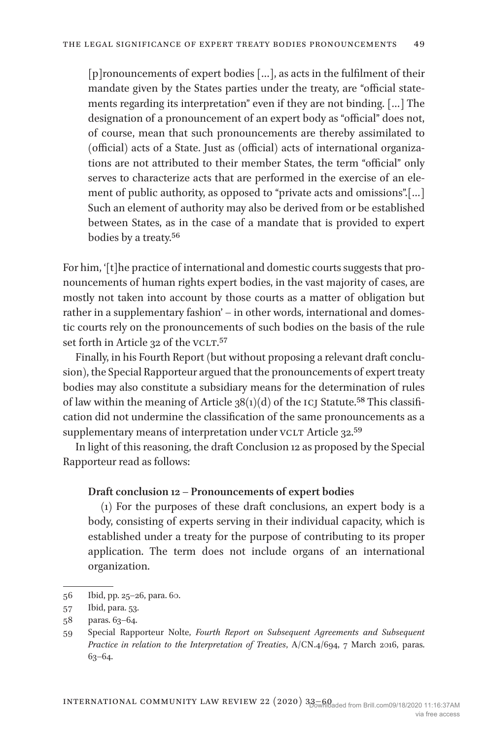[p]ronouncements of expert bodies [...], as acts in the fulfilment of their mandate given by the States parties under the treaty, are "official statements regarding its interpretation" even if they are not binding. […] The designation of a pronouncement of an expert body as "official" does not, of course, mean that such pronouncements are thereby assimilated to (official) acts of a State. Just as (official) acts of international organizations are not attributed to their member States, the term "official" only serves to characterize acts that are performed in the exercise of an element of public authority, as opposed to "private acts and omissions".[…] Such an element of authority may also be derived from or be established between States, as in the case of a mandate that is provided to expert bodies by a treaty.56

For him, '[t]he practice of international and domestic courts suggests that pronouncements of human rights expert bodies, in the vast majority of cases, are mostly not taken into account by those courts as a matter of obligation but rather in a supplementary fashion' – in other words, international and domestic courts rely on the pronouncements of such bodies on the basis of the rule set forth in Article 32 of the VCLT.<sup>57</sup>

Finally, in his Fourth Report (but without proposing a relevant draft conclusion), the Special Rapporteur argued that the pronouncements of expert treaty bodies may also constitute a subsidiary means for the determination of rules of law within the meaning of Article  $38(1)(d)$  of the ICJ Statute.<sup>58</sup> This classification did not undermine the classification of the same pronouncements as a supplementary means of interpretation under VCLT Article 32.<sup>59</sup>

In light of this reasoning, the draft Conclusion 12 as proposed by the Special Rapporteur read as follows:

#### **Draft conclusion 12 – Pronouncements of expert bodies**

(1) For the purposes of these draft conclusions, an expert body is a body, consisting of experts serving in their individual capacity, which is established under a treaty for the purpose of contributing to its proper application. The term does not include organs of an international organization.

<sup>56</sup> Ibid, pp. 25–26, para. 60.

<sup>57</sup> Ibid, para. 53.

<sup>58</sup> paras. 63–64.

<sup>59</sup> Special Rapporteur Nolte, *Fourth Report on Subsequent Agreements and Subsequent Practice in relation to the Interpretation of Treaties*, A/CN.4/694, 7 March 2016, paras. 63–64.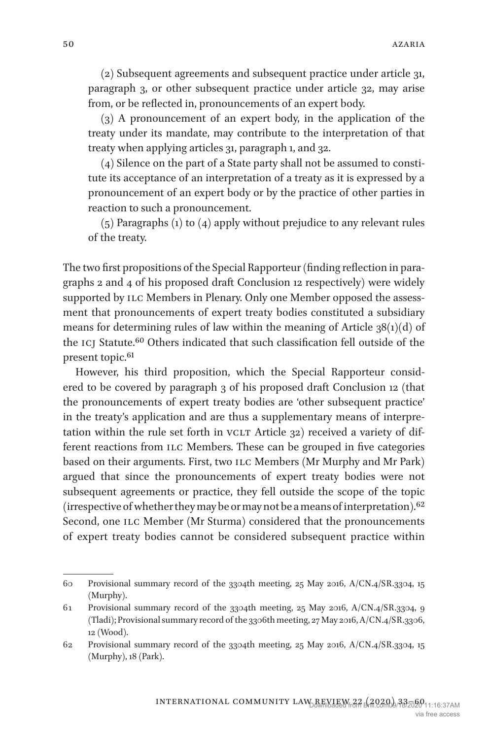(2) Subsequent agreements and subsequent practice under article 31, paragraph 3, or other subsequent practice under article 32, may arise from, or be reflected in, pronouncements of an expert body.

(3) A pronouncement of an expert body, in the application of the treaty under its mandate, may contribute to the interpretation of that treaty when applying articles 31, paragraph 1, and 32.

(4) Silence on the part of a State party shall not be assumed to constitute its acceptance of an interpretation of a treaty as it is expressed by a pronouncement of an expert body or by the practice of other parties in reaction to such a pronouncement.

 $(5)$  Paragraphs  $(1)$  to  $(4)$  apply without prejudice to any relevant rules of the treaty.

The two first propositions of the Special Rapporteur (finding reflection in paragraphs 2 and 4 of his proposed draft Conclusion 12 respectively) were widely supported by ILC Members in Plenary. Only one Member opposed the assessment that pronouncements of expert treaty bodies constituted a subsidiary means for determining rules of law within the meaning of Article  $38(1)(d)$  of the ICJ Statute.<sup>60</sup> Others indicated that such classification fell outside of the present topic.<sup>61</sup>

However, his third proposition, which the Special Rapporteur considered to be covered by paragraph 3 of his proposed draft Conclusion 12 (that the pronouncements of expert treaty bodies are 'other subsequent practice' in the treaty's application and are thus a supplementary means of interpretation within the rule set forth in VCLT Article 32) received a variety of different reactions from ILC Members. These can be grouped in five categories based on their arguments. First, two ILC Members (Mr Murphy and Mr Park) argued that since the pronouncements of expert treaty bodies were not subsequent agreements or practice, they fell outside the scope of the topic (irrespective of whether they may be or may not be a means of interpretation).  $62$ Second, one ILC Member (Mr Sturma) considered that the pronouncements of expert treaty bodies cannot be considered subsequent practice within

<sup>60</sup> Provisional summary record of the 3304th meeting, 25 May 2016, A/CN.4/SR.3304, 15 (Murphy).

<sup>61</sup> Provisional summary record of the 3304th meeting, 25 May 2016, A/CN.4/SR.3304, 9 (Tladi); Provisional summary record of the 3306th meeting, 27 May 2016, A/CN.4/SR.3306, 12 (Wood).

<sup>62</sup> Provisional summary record of the 3304th meeting, 25 May 2016, A/CN.4/SR.3304, 15 (Murphy), 18 (Park).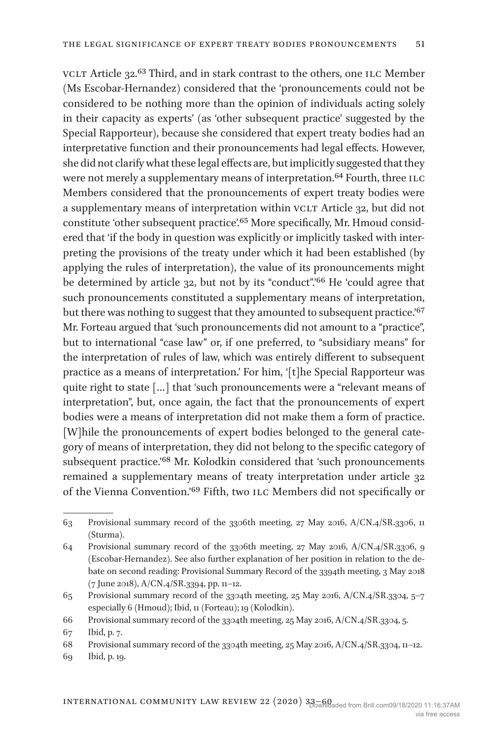VCLT Article 32.63 Third, and in stark contrast to the others, one ILC Member (Ms Escobar-Hernandez) considered that the 'pronouncements could not be considered to be nothing more than the opinion of individuals acting solely in their capacity as experts' (as 'other subsequent practice' suggested by the Special Rapporteur), because she considered that expert treaty bodies had an interpretative function and their pronouncements had legal effects. However, she did not clarify what these legal effects are, but implicitly suggested that they were not merely a supplementary means of interpretation.<sup>64</sup> Fourth, three ILC Members considered that the pronouncements of expert treaty bodies were a supplementary means of interpretation within VCLT Article 32, but did not constitute 'other subsequent practice'.65 More specifically, Mr. Hmoud considered that 'if the body in question was explicitly or implicitly tasked with interpreting the provisions of the treaty under which it had been established (by applying the rules of interpretation), the value of its pronouncements might be determined by article 32, but not by its "conduct".'66 He 'could agree that such pronouncements constituted a supplementary means of interpretation, but there was nothing to suggest that they amounted to subsequent practice.'<sup>67</sup> Mr. Forteau argued that 'such pronouncements did not amount to a "practice", but to international "case law" or, if one preferred, to "subsidiary means" for the interpretation of rules of law, which was entirely different to subsequent practice as a means of interpretation.' For him, '[t]he Special Rapporteur was quite right to state […] that 'such pronouncements were a "relevant means of interpretation", but, once again, the fact that the pronouncements of expert bodies were a means of interpretation did not make them a form of practice. [W]hile the pronouncements of expert bodies belonged to the general category of means of interpretation, they did not belong to the specific category of subsequent practice.'68 Mr. Kolodkin considered that 'such pronouncements remained a supplementary means of treaty interpretation under article 32 of the Vienna Convention.'69 Fifth, two ILC Members did not specifically or

69 Ibid, p. 19.

<sup>63</sup> Provisional summary record of the 3306th meeting, 27 May 2016, A/CN.4/SR.3306, 11 (Sturma).

<sup>64</sup> Provisional summary record of the 3306th meeting, 27 May 2016, A/CN.4/SR.3306, 9 (Escobar-Hernandez). See also further explanation of her position in relation to the debate on second reading: Provisional Summary Record of the 3394th meeting, 3 May 2018 (7 June 2018), A/CN.4/SR.3394, pp. 11–12.

<sup>65</sup> Provisional summary record of the 3304th meeting, 25 May 2016, A/CN.4/SR.3304, 5–7 especially 6 (Hmoud); Ibid, 11 (Forteau); 19 (Kolodkin).

<sup>66</sup> Provisional summary record of the 3304th meeting, 25 May 2016, A/CN.4/SR.3304, 5.

<sup>67</sup> Ibid, p. 7.

<sup>68</sup> Provisional summary record of the 3304th meeting, 25 May 2016, A/CN.4/SR.3304, 11–12.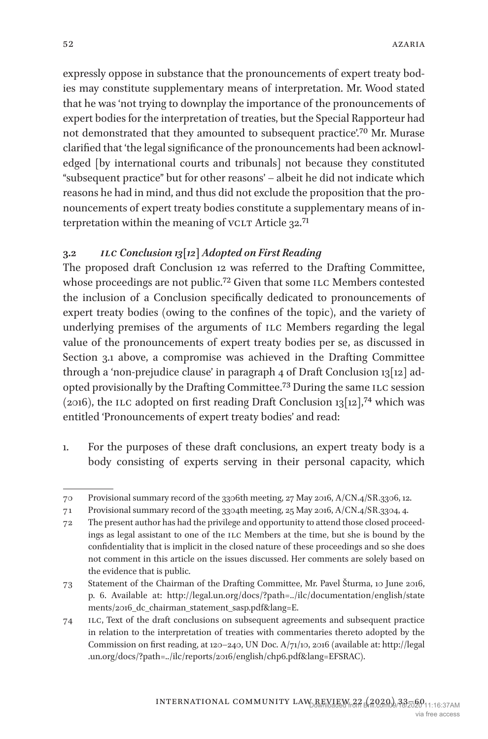expressly oppose in substance that the pronouncements of expert treaty bodies may constitute supplementary means of interpretation. Mr. Wood stated that he was 'not trying to downplay the importance of the pronouncements of expert bodies for the interpretation of treaties, but the Special Rapporteur had not demonstrated that they amounted to subsequent practice'.70 Mr. Murase clarified that 'the legal significance of the pronouncements had been acknowledged [by international courts and tribunals] not because they constituted "subsequent practice" but for other reasons' – albeit he did not indicate which reasons he had in mind, and thus did not exclude the proposition that the pronouncements of expert treaty bodies constitute a supplementary means of interpretation within the meaning of VCLT Article 32.71

#### **3.2** *ILC Conclusion 13[12] Adopted on First Reading*

The proposed draft Conclusion 12 was referred to the Drafting Committee, whose proceedings are not public.<sup>72</sup> Given that some ILC Members contested the inclusion of a Conclusion specifically dedicated to pronouncements of expert treaty bodies (owing to the confines of the topic), and the variety of underlying premises of the arguments of ILC Members regarding the legal value of the pronouncements of expert treaty bodies per se, as discussed in Section 3.1 above, a compromise was achieved in the Drafting Committee through a 'non-prejudice clause' in paragraph 4 of Draft Conclusion 13[12] adopted provisionally by the Drafting Committee.73 During the same ILC session (2016), the ILC adopted on first reading Draft Conclusion  $13[12]$ ,<sup>74</sup> which was entitled 'Pronouncements of expert treaty bodies' and read:

1. For the purposes of these draft conclusions, an expert treaty body is a body consisting of experts serving in their personal capacity, which

<sup>70</sup> Provisional summary record of the 3306th meeting, 27 May 2016, A/CN.4/SR.3306, 12.

<sup>71</sup> Provisional summary record of the 3304th meeting, 25 May 2016, A/CN.4/SR.3304, 4.

<sup>72</sup> The present author has had the privilege and opportunity to attend those closed proceedings as legal assistant to one of the ILC Members at the time, but she is bound by the confidentiality that is implicit in the closed nature of these proceedings and so she does not comment in this article on the issues discussed. Her comments are solely based on the evidence that is public.

<sup>73</sup> Statement of the Chairman of the Drafting Committee, Mr. Pavel Šturma, 10 June 2016, p. 6. Available at: http://legal.un.org/docs/?path=../ilc/documentation/english/state ments/2016\_dc\_chairman\_statement\_sasp.pdf&lang=E.

<sup>74</sup> ILC, Text of the draft conclusions on subsequent agreements and subsequent practice in relation to the interpretation of treaties with commentaries thereto adopted by the Commission on first reading, at  $120-240$ , UN Doc.  $A/71/10$ , 2016 (available at: http://legal .un.org/docs/?path=../ilc/reports/2016/english/chp6.pdf&lang=EFSRAC).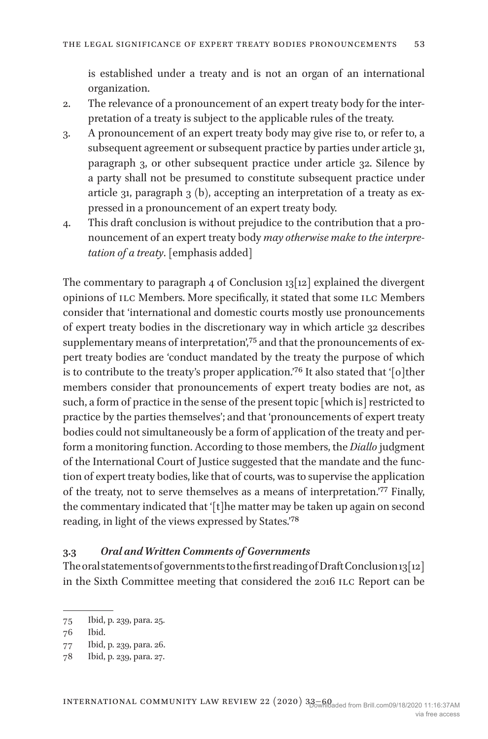is established under a treaty and is not an organ of an international organization.

- 2. The relevance of a pronouncement of an expert treaty body for the interpretation of a treaty is subject to the applicable rules of the treaty.
- 3. A pronouncement of an expert treaty body may give rise to, or refer to, a subsequent agreement or subsequent practice by parties under article 31, paragraph 3, or other subsequent practice under article 32. Silence by a party shall not be presumed to constitute subsequent practice under article 31, paragraph  $3$  (b), accepting an interpretation of a treaty as expressed in a pronouncement of an expert treaty body.
- 4. This draft conclusion is without prejudice to the contribution that a pronouncement of an expert treaty body *may otherwise make to the interpretation of a treaty*. [emphasis added]

The commentary to paragraph 4 of Conclusion 13[12] explained the divergent opinions of ILC Members. More specifically, it stated that some ILC Members consider that 'international and domestic courts mostly use pronouncements of expert treaty bodies in the discretionary way in which article 32 describes supplementary means of interpretation',75 and that the pronouncements of expert treaty bodies are 'conduct mandated by the treaty the purpose of which is to contribute to the treaty's proper application.'76 It also stated that '[o]ther members consider that pronouncements of expert treaty bodies are not, as such, a form of practice in the sense of the present topic [which is] restricted to practice by the parties themselves'; and that 'pronouncements of expert treaty bodies could not simultaneously be a form of application of the treaty and perform a monitoring function. According to those members, the *Diallo* judgment of the International Court of Justice suggested that the mandate and the function of expert treaty bodies, like that of courts, was to supervise the application of the treaty, not to serve themselves as a means of interpretation.'77 Finally, the commentary indicated that '[t]he matter may be taken up again on second reading, in light of the views expressed by States.'78

#### **3.3** *Oral and Written Comments of Governments*

The oral statements of governments to the first reading of Draft Conclusion 13[12] in the Sixth Committee meeting that considered the 2016 ILC Report can be

<sup>75</sup> Ibid, p. 239, para. 25.

<sup>76</sup> Ibid.

<sup>77</sup> Ibid, p. 239, para. 26.

<sup>78</sup> Ibid, p. 239, para. 27.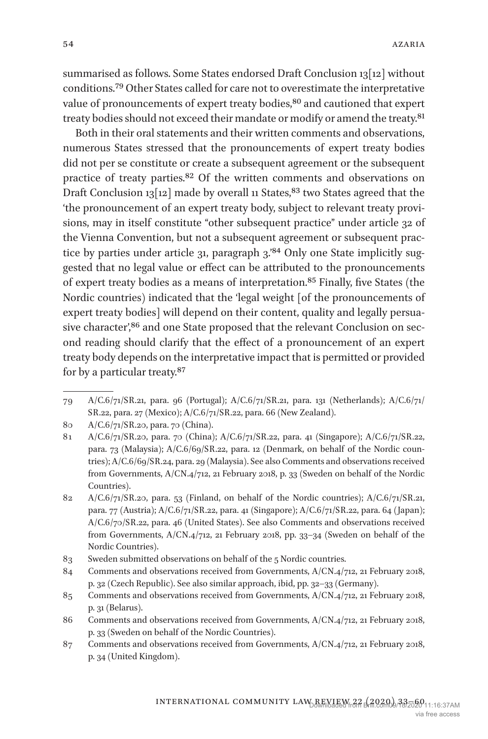summarised as follows. Some States endorsed Draft Conclusion 13[12] without conditions.79 Other States called for care not to overestimate the interpretative value of pronouncements of expert treaty bodies,<sup>80</sup> and cautioned that expert treaty bodies should not exceed their mandate or modify or amend the treaty.<sup>81</sup>

Both in their oral statements and their written comments and observations, numerous States stressed that the pronouncements of expert treaty bodies did not per se constitute or create a subsequent agreement or the subsequent practice of treaty parties.82 Of the written comments and observations on Draft Conclusion  $13[12]$  made by overall 11 States,  $83$  two States agreed that the 'the pronouncement of an expert treaty body, subject to relevant treaty provisions, may in itself constitute "other subsequent practice" under article 32 of the Vienna Convention, but not a subsequent agreement or subsequent practice by parties under article 31, paragraph 3.'<sup>84</sup> Only one State implicitly suggested that no legal value or effect can be attributed to the pronouncements of expert treaty bodies as a means of interpretation.85 Finally, five States (the Nordic countries) indicated that the 'legal weight [of the pronouncements of expert treaty bodies] will depend on their content, quality and legally persuasive character', 86 and one State proposed that the relevant Conclusion on second reading should clarify that the effect of a pronouncement of an expert treaty body depends on the interpretative impact that is permitted or provided for by a particular treaty.87

<sup>79</sup> A/C.6/71/SR.21, para. 96 (Portugal); A/C.6/71/SR.21, para. 131 (Netherlands); A/C.6/71/ SR.22, para. 27 (Mexico); A/C.6/71/SR.22, para. 66 (New Zealand).

<sup>80</sup> A/C.6/71/SR.20, para. 70 (China).

<sup>81</sup> A/C.6/71/SR.20, para. 70 (China); A/C.6/71/SR.22, para. 41 (Singapore); A/C.6/71/SR.22, para. 73 (Malaysia); A/C.6/69/SR.22, para. 12 (Denmark, on behalf of the Nordic countries); A/C.6/69/SR.24, para. 29 (Malaysia). See also Comments and observations received from Governments, A/CN.4/712, 21 February 2018, p. 33 (Sweden on behalf of the Nordic Countries).

<sup>82</sup> A/C.6/71/SR.20, para. 53 (Finland, on behalf of the Nordic countries); A/C.6/71/SR.21, para. 77 (Austria); A/C.6/71/SR.22, para. 41 (Singapore); A/C.6/71/SR.22, para. 64 (Japan); A/C.6/70/SR.22, para. 46 (United States). See also Comments and observations received from Governments, A/CN.4/712, 21 February 2018, pp. 33–34 (Sweden on behalf of the Nordic Countries).

<sup>83</sup> Sweden submitted observations on behalf of the 5 Nordic countries.

<sup>84</sup> Comments and observations received from Governments, A/CN.4/712, 21 February 2018, p. 32 (Czech Republic). See also similar approach, ibid, pp. 32–33 (Germany).

<sup>85</sup> Comments and observations received from Governments, A/CN.4/712, 21 February 2018, p. 31 (Belarus).

<sup>86</sup> Comments and observations received from Governments, A/CN.4/712, 21 February 2018, p. 33 (Sweden on behalf of the Nordic Countries).

<sup>87</sup> Comments and observations received from Governments, A/CN.4/712, 21 February 2018, p. 34 (United Kingdom).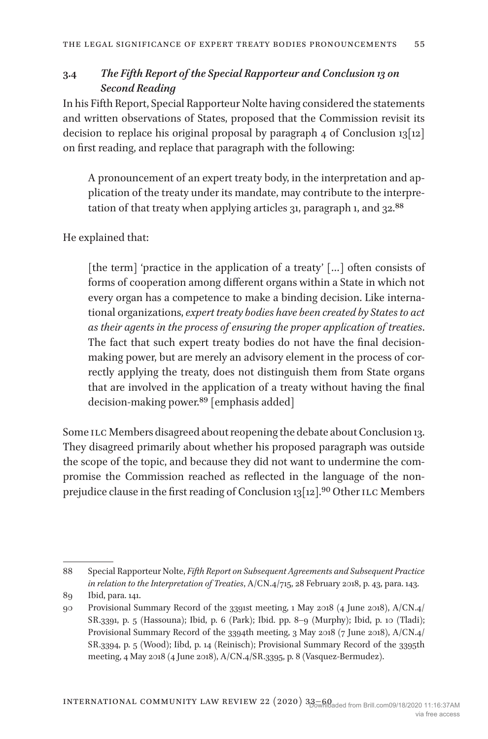# **3.4** *The Fifth Report of the Special Rapporteur and Conclusion 13 on Second Reading*

In his Fifth Report, Special Rapporteur Nolte having considered the statements and written observations of States, proposed that the Commission revisit its decision to replace his original proposal by paragraph 4 of Conclusion 13[12] on first reading, and replace that paragraph with the following:

A pronouncement of an expert treaty body, in the interpretation and application of the treaty under its mandate, may contribute to the interpretation of that treaty when applying articles 31, paragraph 1, and 32.88

### He explained that:

[the term] 'practice in the application of a treaty' [...] often consists of forms of cooperation among different organs within a State in which not every organ has a competence to make a binding decision. Like international organizations, *expert treaty bodies have been created by States to act as their agents in the process of ensuring the proper application of treaties*. The fact that such expert treaty bodies do not have the final decisionmaking power, but are merely an advisory element in the process of correctly applying the treaty, does not distinguish them from State organs that are involved in the application of a treaty without having the final decision-making power.89 [emphasis added]

Some ILC Members disagreed about reopening the debate about Conclusion 13. They disagreed primarily about whether his proposed paragraph was outside the scope of the topic, and because they did not want to undermine the compromise the Commission reached as reflected in the language of the nonprejudice clause in the first reading of Conclusion 13[12].90 Other ILC Members

<sup>88</sup> Special Rapporteur Nolte, *Fifth Report on Subsequent Agreements and Subsequent Practice in relation to the Interpretation of Treaties*, A/CN.4/715, 28 February 2018, p. 43, para. 143.

<sup>89</sup> Ibid, para. 141.

<sup>90</sup> Provisional Summary Record of the 3391st meeting, 1 May 2018 (4 June 2018), A/CN.4/ SR.3391, p. 5 (Hassouna); Ibid, p. 6 (Park); Ibid. pp. 8–9 (Murphy); Ibid, p. 10 (Tladi); Provisional Summary Record of the 3394th meeting, 3 May 2018 (7 June 2018), A/CN.4/ SR.3394, p. 5 (Wood); Iibd, p. 14 (Reinisch); Provisional Summary Record of the 3395th meeting, 4 May 2018 (4 June 2018), A/CN.4/SR.3395, p. 8 (Vasquez-Bermudez).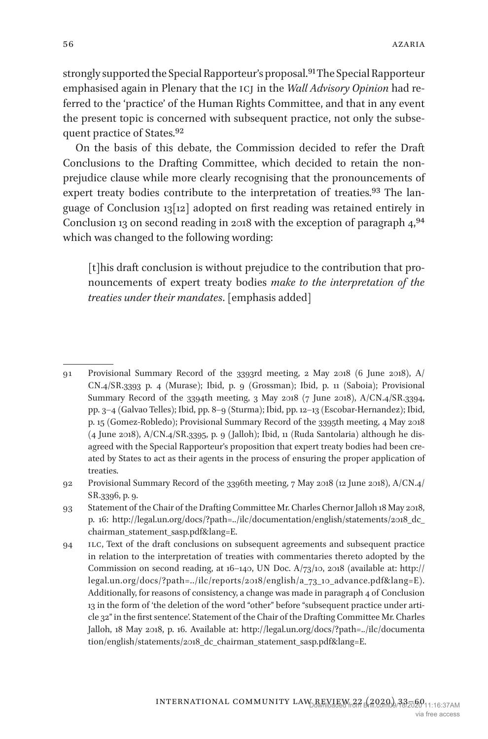strongly supported the Special Rapporteur's proposal.91 The Special Rapporteur emphasised again in Plenary that the ICJ in the *Wall Advisory Opinion* had referred to the 'practice' of the Human Rights Committee, and that in any event the present topic is concerned with subsequent practice, not only the subsequent practice of States.92

On the basis of this debate, the Commission decided to refer the Draft Conclusions to the Drafting Committee, which decided to retain the nonprejudice clause while more clearly recognising that the pronouncements of expert treaty bodies contribute to the interpretation of treaties.<sup>93</sup> The language of Conclusion 13[12] adopted on first reading was retained entirely in Conclusion 13 on second reading in 2018 with the exception of paragraph  $4^{94}$ which was changed to the following wording:

[t]his draft conclusion is without prejudice to the contribution that pronouncements of expert treaty bodies *make to the interpretation of the treaties under their mandates*. [emphasis added]

<sup>91</sup> Provisional Summary Record of the 3393rd meeting, 2 May 2018 (6 June 2018), A/ CN.4/SR.3393 p. 4 (Murase); Ibid, p. 9 (Grossman); Ibid, p. 11 (Saboia); Provisional Summary Record of the 3394th meeting, 3 May 2018 (7 June 2018), A/CN.4/SR.3394, pp. 3–4 (Galvao Telles); Ibid, pp. 8–9 (Sturma); Ibid, pp. 12–13 (Escobar-Hernandez); Ibid, p. 15 (Gomez-Robledo); Provisional Summary Record of the 3395th meeting, 4 May 2018 (4 June 2018), A/CN.4/SR.3395, p. 9 (Jalloh); Ibid, 11 (Ruda Santolaria) although he disagreed with the Special Rapporteur's proposition that expert treaty bodies had been created by States to act as their agents in the process of ensuring the proper application of treaties.

<sup>92</sup> Provisional Summary Record of the 3396th meeting, 7 May 2018 (12 June 2018), A/CN.4/ SR.3396, p. 9.

<sup>93</sup> Statement of the Chair of the Drafting Committee Mr. Charles Chernor Jalloh 18 May 2018, p. 16: http://legal.un.org/docs/?path=../ilc/documentation/english/statements/2018\_dc\_ chairman\_statement\_sasp.pdf&lang=E.

<sup>94</sup> ILC, Text of the draft conclusions on subsequent agreements and subsequent practice in relation to the interpretation of treaties with commentaries thereto adopted by the Commission on second reading, at 16–140, UN Doc. A/73/10, 2018 (available at: http:// legal.un.org/docs/?path=../ilc/reports/2018/english/a\_73\_10\_advance.pdf&lang=E). Additionally, for reasons of consistency, a change was made in paragraph 4 of Conclusion 13 in the form of 'the deletion of the word "other" before "subsequent practice under article 32" in the first sentence'. Statement of the Chair of the Drafting Committee Mr. Charles Jalloh, 18 May 2018, p. 16. Available at: http://legal.un.org/docs/?path=../ilc/documenta tion/english/statements/2018\_dc\_chairman\_statement\_sasp.pdf&lang=E.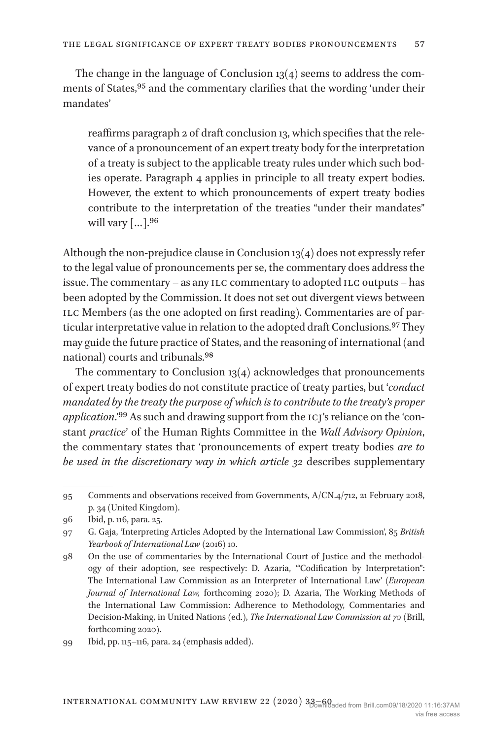The change in the language of Conclusion  $13(4)$  seems to address the comments of States, <sup>95</sup> and the commentary clarifies that the wording 'under their mandates'

reaffirms paragraph 2 of draft conclusion 13, which specifies that the relevance of a pronouncement of an expert treaty body for the interpretation of a treaty is subject to the applicable treaty rules under which such bodies operate. Paragraph 4 applies in principle to all treaty expert bodies. However, the extent to which pronouncements of expert treaty bodies contribute to the interpretation of the treaties "under their mandates" will vary [...].<sup>96</sup>

Although the non-prejudice clause in Conclusion 13(4) does not expressly refer to the legal value of pronouncements per se, the commentary does address the issue. The commentary – as any ILC commentary to adopted ILC outputs – has been adopted by the Commission. It does not set out divergent views between ILC Members (as the one adopted on first reading). Commentaries are of particular interpretative value in relation to the adopted draft Conclusions.<sup>97</sup> They may guide the future practice of States, and the reasoning of international (and national) courts and tribunals.98

The commentary to Conclusion 13(4) acknowledges that pronouncements of expert treaty bodies do not constitute practice of treaty parties, but '*conduct mandated by the treaty the purpose of which is to contribute to the treaty's proper application*.'99 As such and drawing support from the ICJ's reliance on the 'constant *practice*' of the Human Rights Committee in the *Wall Advisory Opinion*, the commentary states that 'pronouncements of expert treaty bodies *are to be used in the discretionary way in which article 32* describes supplementary

<sup>95</sup> Comments and observations received from Governments, A/CN.4/712, 21 February 2018, p. 34 (United Kingdom).

<sup>96</sup> Ibid, p. 116, para. 25.

<sup>97</sup> G. Gaja, 'Interpreting Articles Adopted by the International Law Commission', 85 *British Yearbook of International Law* (2016) 10.

<sup>98</sup> On the use of commentaries by the International Court of Justice and the methodology of their adoption, see respectively: D. Azaria, '"Codification by Interpretation": The International Law Commission as an Interpreter of International Law' (*European Journal of International Law,* forthcoming 2020); D. Azaria, The Working Methods of the International Law Commission: Adherence to Methodology, Commentaries and Decision-Making, in United Nations (ed.), *The International Law Commission at 70* (Brill, forthcoming 2020).

<sup>99</sup> Ibid, pp. 115–116, para. 24 (emphasis added).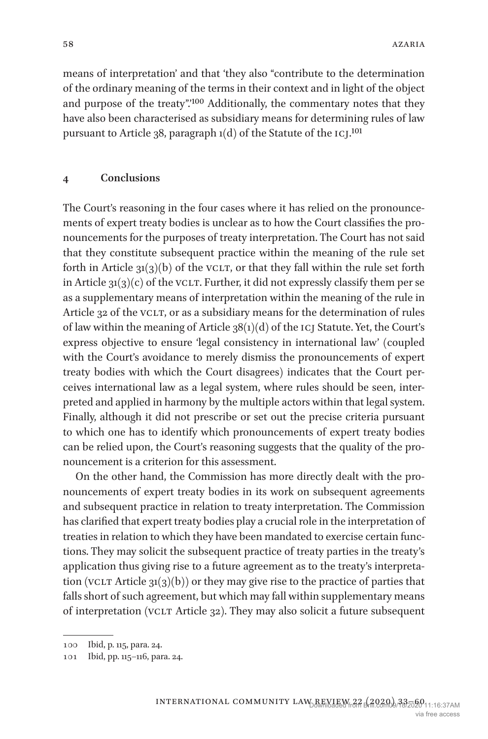means of interpretation' and that 'they also "contribute to the determination of the ordinary meaning of the terms in their context and in light of the object and purpose of the treaty".'100 Additionally, the commentary notes that they have also been characterised as subsidiary means for determining rules of law pursuant to Article 38, paragraph 1(d) of the Statute of the ICJ.101

#### **4 Conclusions**

The Court's reasoning in the four cases where it has relied on the pronouncements of expert treaty bodies is unclear as to how the Court classifies the pronouncements for the purposes of treaty interpretation. The Court has not said that they constitute subsequent practice within the meaning of the rule set forth in Article  $31(3)(b)$  of the VCLT, or that they fall within the rule set forth in Article  $31(3)(c)$  of the VCLT. Further, it did not expressly classify them per se as a supplementary means of interpretation within the meaning of the rule in Article 32 of the VCLT, or as a subsidiary means for the determination of rules of law within the meaning of Article 38(1)(d) of the ICJ Statute. Yet, the Court's express objective to ensure 'legal consistency in international law' (coupled with the Court's avoidance to merely dismiss the pronouncements of expert treaty bodies with which the Court disagrees) indicates that the Court perceives international law as a legal system, where rules should be seen, interpreted and applied in harmony by the multiple actors within that legal system. Finally, although it did not prescribe or set out the precise criteria pursuant to which one has to identify which pronouncements of expert treaty bodies can be relied upon, the Court's reasoning suggests that the quality of the pronouncement is a criterion for this assessment.

On the other hand, the Commission has more directly dealt with the pronouncements of expert treaty bodies in its work on subsequent agreements and subsequent practice in relation to treaty interpretation. The Commission has clarified that expert treaty bodies play a crucial role in the interpretation of treaties in relation to which they have been mandated to exercise certain functions. They may solicit the subsequent practice of treaty parties in the treaty's application thus giving rise to a future agreement as to the treaty's interpretation (VCLT Article  $31(3)(b)$ ) or they may give rise to the practice of parties that falls short of such agreement, but which may fall within supplementary means of interpretation (VCLT Article 32). They may also solicit a future subsequent

<sup>100</sup> Ibid, p. 115, para. 24.

<sup>101</sup> Ibid, pp. 115–116, para. 24.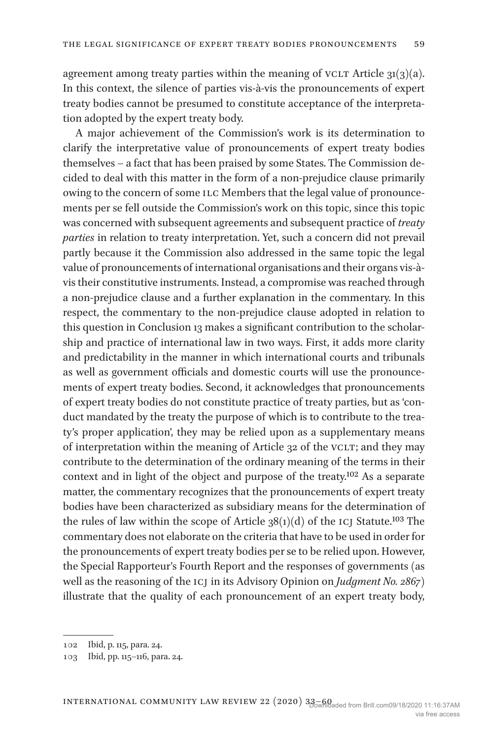agreement among treaty parties within the meaning of VCLT Article  $31(3)(a)$ . In this context, the silence of parties vis-à-vis the pronouncements of expert treaty bodies cannot be presumed to constitute acceptance of the interpretation adopted by the expert treaty body.

A major achievement of the Commission's work is its determination to clarify the interpretative value of pronouncements of expert treaty bodies themselves – a fact that has been praised by some States. The Commission decided to deal with this matter in the form of a non-prejudice clause primarily owing to the concern of some ILC Members that the legal value of pronouncements per se fell outside the Commission's work on this topic, since this topic was concerned with subsequent agreements and subsequent practice of *treaty parties* in relation to treaty interpretation. Yet, such a concern did not prevail partly because it the Commission also addressed in the same topic the legal value of pronouncements of international organisations and their organs vis-àvis their constitutive instruments. Instead, a compromise was reached through a non-prejudice clause and a further explanation in the commentary. In this respect, the commentary to the non-prejudice clause adopted in relation to this question in Conclusion 13 makes a significant contribution to the scholarship and practice of international law in two ways. First, it adds more clarity and predictability in the manner in which international courts and tribunals as well as government officials and domestic courts will use the pronouncements of expert treaty bodies. Second, it acknowledges that pronouncements of expert treaty bodies do not constitute practice of treaty parties, but as 'conduct mandated by the treaty the purpose of which is to contribute to the treaty's proper application', they may be relied upon as a supplementary means of interpretation within the meaning of Article 32 of the VCLT; and they may contribute to the determination of the ordinary meaning of the terms in their context and in light of the object and purpose of the treaty.102 As a separate matter, the commentary recognizes that the pronouncements of expert treaty bodies have been characterized as subsidiary means for the determination of the rules of law within the scope of Article  $38(1)(d)$  of the ICJ Statute.<sup>103</sup> The commentary does not elaborate on the criteria that have to be used in order for the pronouncements of expert treaty bodies per se to be relied upon. However, the Special Rapporteur's Fourth Report and the responses of governments (as well as the reasoning of the ICJ in its Advisory Opinion on *Judgment No. 2867*) illustrate that the quality of each pronouncement of an expert treaty body,

<sup>102</sup> Ibid, p. 115, para. 24.

<sup>103</sup> Ibid, pp. 115–116, para. 24.